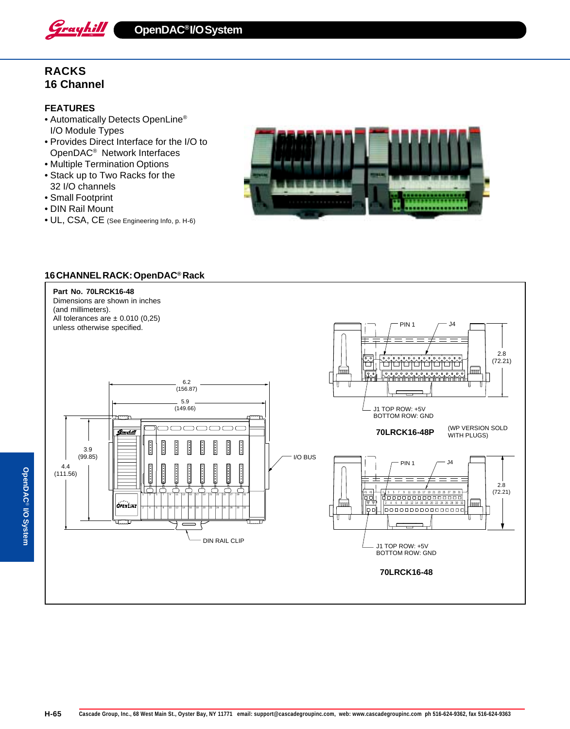

**OpenDAC® I/O System**

# **RACKS 16 Channel**

## **FEATURES**

- Automatically Detects OpenLine® I/O Module Types
- Provides Direct Interface for the I/O to OpenDAC® Network Interfaces
- Multiple Termination Options
- Stack up to Two Racks for the 32 I/O channels
- Small Footprint
- DIN Rail Mount
- UL, CSA, CE (See Engineering Info, p. H-6)



### **16 CHANNEL RACK: OpenDAC® Rack**